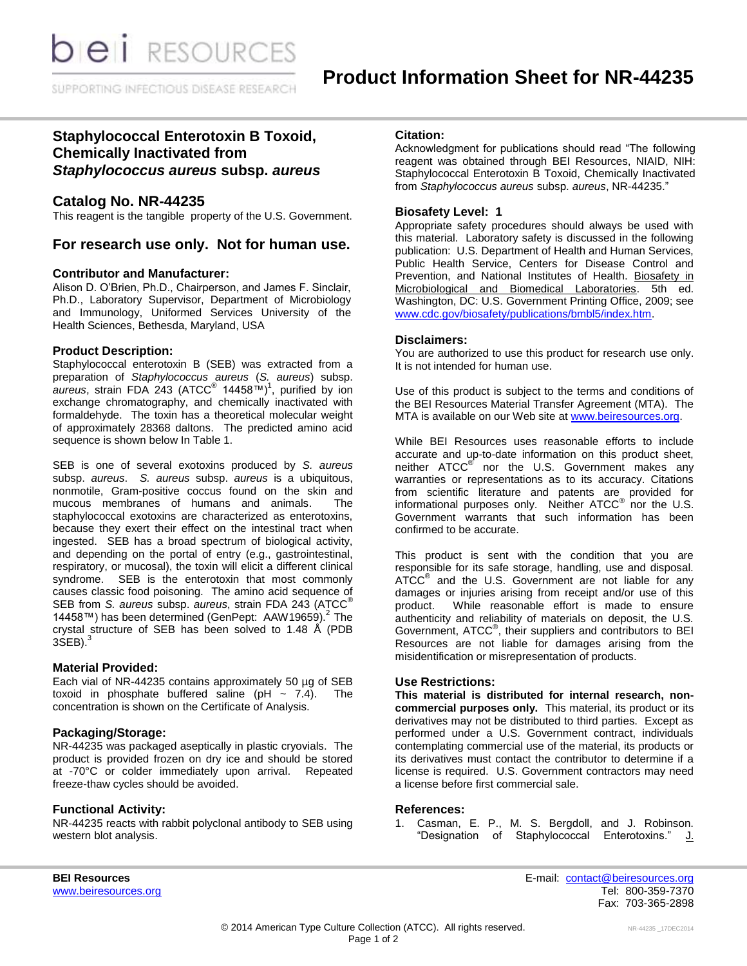**DIEI** RESOURCES

SUPPORTING INFECTIOUS DISEASE RESEARCH

# **Staphylococcal Enterotoxin B Toxoid, Chemically Inactivated from**  *Staphylococcus aureus* **subsp.** *aureus*

# **Catalog No. NR-44235**

This reagent is the tangible property of the U.S. Government.

## **For research use only. Not for human use.**

#### **Contributor and Manufacturer:**

Alison D. O'Brien, Ph.D., Chairperson, and James F. Sinclair, Ph.D., Laboratory Supervisor, Department of Microbiology and Immunology, Uniformed Services University of the Health Sciences, Bethesda, Maryland, USA

#### **Product Description:**

Staphylococcal enterotoxin B (SEB) was extracted from a preparation of *Staphylococcus aureus* (*S. aureus*) subsp. aureus, strain FDA 243 (ATCC<sup>®</sup> 14458™)<sup>1</sup>, purified by ion exchange chromatography, and chemically inactivated with formaldehyde. The toxin has a theoretical molecular weight of approximately 28368 daltons. The predicted amino acid sequence is shown below In Table 1.

SEB is one of several exotoxins produced by *S. aureus*  subsp. *aureus*. *S. aureus* subsp. *aureus* is a ubiquitous, nonmotile, Gram-positive coccus found on the skin and mucous membranes of humans and animals. The staphylococcal exotoxins are characterized as enterotoxins, because they exert their effect on the intestinal tract when ingested. SEB has a broad spectrum of biological activity, and depending on the portal of entry (e.g., gastrointestinal, respiratory, or mucosal), the toxin will elicit a different clinical syndrome. SEB is the enterotoxin that most commonly causes classic food poisoning. The amino acid sequence of SEB from *S. aureus* subsp. *aureus*, strain FDA 243 (ATCC® 14458™) has been determined (GenPept: AAW19659).<sup>2</sup> The crystal structure of SEB has been solved to 1.48 Å (PDB 3SEB).<sup>3</sup>

#### **Material Provided:**

Each vial of NR-44235 contains approximately 50 µg of SEB toxoid in phosphate buffered saline (pH  $\sim$  7.4). The concentration is shown on the Certificate of Analysis.

### **Packaging/Storage:**

NR-44235 was packaged aseptically in plastic cryovials. The product is provided frozen on dry ice and should be stored at -70°C or colder immediately upon arrival. Repeated freeze-thaw cycles should be avoided.

#### **Functional Activity:**

NR-44235 reacts with rabbit polyclonal antibody to SEB using western blot analysis.

#### **Citation:**

Acknowledgment for publications should read "The following reagent was obtained through BEI Resources, NIAID, NIH: Staphylococcal Enterotoxin B Toxoid, Chemically Inactivated from *Staphylococcus aureus* subsp. *aureus*, NR-44235."

### **Biosafety Level: 1**

Appropriate safety procedures should always be used with this material. Laboratory safety is discussed in the following publication: U.S. Department of Health and Human Services, Public Health Service, Centers for Disease Control and Prevention, and National Institutes of Health. Biosafety in Microbiological and Biomedical Laboratories. 5th ed. Washington, DC: U.S. Government Printing Office, 2009; see [www.cdc.gov/biosafety/publications/bmbl5/index.htm.](http://www.cdc.gov/biosafety/publications/bmbl5/index.htm)

#### **Disclaimers:**

You are authorized to use this product for research use only. It is not intended for human use.

Use of this product is subject to the terms and conditions of the BEI Resources Material Transfer Agreement (MTA). The MTA is available on our Web site at [www.beiresources.org.](http://www.beiresources.org/)

While BEI Resources uses reasonable efforts to include accurate and up-to-date information on this product sheet, neither ATCC<sup>®</sup> nor the U.S. Government makes any warranties or representations as to its accuracy. Citations from scientific literature and patents are provided for informational purposes only. Neither  $\tt{ATCC}^{\circledR}$  nor the U.S. Government warrants that such information has been confirmed to be accurate.

This product is sent with the condition that you are responsible for its safe storage, handling, use and disposal. ATCC<sup>®</sup> and the U.S. Government are not liable for any damages or injuries arising from receipt and/or use of this product. While reasonable effort is made to ensure authenticity and reliability of materials on deposit, the U.S. Government, ATCC® , their suppliers and contributors to BEI Resources are not liable for damages arising from the misidentification or misrepresentation of products.

#### **Use Restrictions:**

**This material is distributed for internal research, noncommercial purposes only.** This material, its product or its derivatives may not be distributed to third parties. Except as performed under a U.S. Government contract, individuals contemplating commercial use of the material, its products or its derivatives must contact the contributor to determine if a license is required. U.S. Government contractors may need a license before first commercial sale.

#### **References:**

1. Casman, E. P., M. S. Bergdoll, and J. Robinson. "Designation of Staphylococcal Enterotoxins." J.

[www.beiresources.org](http://www.beiresources.org/)

**BEI Resources** E-mail: [contact@beiresources.org](mailto:contact@beiresources.org) Fax: 703-365-2898